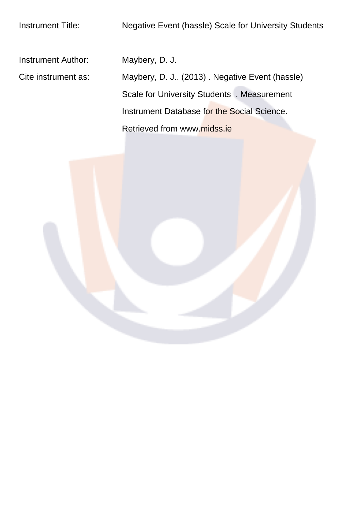Instrument Author: Maybery, D. J.

Cite instrument as: Maybery, D. J.. (2013) . Negative Event (hassle) Scale for University Students . Measurement Instrument Database for the Social Science. Retrieved from www.midss.ie

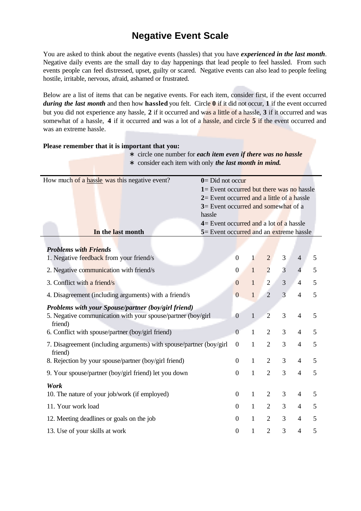## **Negative Event Scale**

You are asked to think about the negative events (hassles) that you have *experienced in the last month*. Negative daily events are the small day to day happenings that lead people to feel hassled. From such events people can feel distressed, upset, guilty or scared. Negative events can also lead to people feeling hostile, irritable, nervous, afraid, ashamed or frustrated.

Below are a list of items that can be negative events. For each item, consider first, if the event occurred during the last month and then how hassled you felt. Circle  $\theta$  if it did not occur, 1 if the event occurred but you did not experience any hassle, 2 if it occurred and was a little of a hassle, 3 if it occurred and was somewhat of a hassle, 4 if it occurred and was a lot of a hassle, and circle 5 if the event occurred and was an extreme hassle.

Please remember that it is important that you.

| circle one number for each item even if there was no hassle<br>$\ast$                                                          |                                                                                                                                                                                                                                                               |                  |              |                |                |                |   |
|--------------------------------------------------------------------------------------------------------------------------------|---------------------------------------------------------------------------------------------------------------------------------------------------------------------------------------------------------------------------------------------------------------|------------------|--------------|----------------|----------------|----------------|---|
| consider each item with only the last month in mind.<br>$\ast$                                                                 |                                                                                                                                                                                                                                                               |                  |              |                |                |                |   |
| How much of a hassle was this negative event?                                                                                  | $0 = Did not occur$<br>$1 =$ Event occurred but there was no hassle<br>$2=$ Event occurred and a little of a hassle<br>3= Event occurred and somewhat of a<br>hassle<br>$4=$ Event occurred and a lot of a hassle<br>5 = Event occurred and an extreme hassle |                  |              |                |                |                |   |
| In the last month                                                                                                              |                                                                                                                                                                                                                                                               |                  |              |                |                |                |   |
| <b>Problems with Friends</b><br>1. Negative feedback from your friend/s                                                        |                                                                                                                                                                                                                                                               | $\boldsymbol{0}$ | $\mathbf{1}$ | $\overline{2}$ | 3              | $\overline{4}$ | 5 |
| 2. Negative communication with friend/s                                                                                        |                                                                                                                                                                                                                                                               | $\mathbf{0}$     | $\mathbf{1}$ | $\overline{2}$ | 3              | $\overline{4}$ | 5 |
| 3. Conflict with a friend/s                                                                                                    |                                                                                                                                                                                                                                                               | $\boldsymbol{0}$ | $\mathbf{1}$ | $\overline{2}$ | 3              | $\overline{4}$ | 5 |
| 4. Disagreement (including arguments) with a friend/s                                                                          |                                                                                                                                                                                                                                                               | $\overline{0}$   | $\mathbf{1}$ | $\overline{2}$ | $\overline{3}$ | $\overline{4}$ | 5 |
| Problems with your Spouse/partner (boy/girl friend)<br>5. Negative communication with your spouse/partner (boy/girl<br>friend) |                                                                                                                                                                                                                                                               | $\boldsymbol{0}$ | $\mathbf{1}$ | $\overline{2}$ | 3              | $\overline{4}$ | 5 |
| 6. Conflict with spouse/partner (boy/girl friend)                                                                              |                                                                                                                                                                                                                                                               | $\overline{0}$   | $\mathbf{1}$ | $\overline{2}$ | 3              | $\overline{4}$ | 5 |
| 7. Disagreement (including arguments) with spouse/partner (boy/girl<br>friend)                                                 |                                                                                                                                                                                                                                                               | $\overline{0}$   | $\mathbf{1}$ | $\overline{2}$ | 3              | $\overline{4}$ | 5 |
| 8. Rejection by your spouse/partner (boy/girl friend)                                                                          |                                                                                                                                                                                                                                                               | $\boldsymbol{0}$ | $\mathbf{1}$ | $\overline{2}$ | 3              | $\overline{4}$ | 5 |
| 9. Your spouse/partner (boy/girl friend) let you down                                                                          |                                                                                                                                                                                                                                                               | $\mathbf{0}$     | $\mathbf{1}$ | $\overline{2}$ | $\overline{3}$ | $\overline{4}$ | 5 |
| Work<br>10. The nature of your job/work (if employed)                                                                          |                                                                                                                                                                                                                                                               | $\boldsymbol{0}$ | $\mathbf{1}$ | $\overline{2}$ | 3              | $\overline{4}$ | 5 |
| 11. Your work load                                                                                                             |                                                                                                                                                                                                                                                               | $\boldsymbol{0}$ | $\mathbf{1}$ | $\overline{2}$ | 3              | 4              | 5 |
| 12. Meeting deadlines or goals on the job                                                                                      |                                                                                                                                                                                                                                                               | $\boldsymbol{0}$ | $\mathbf{1}$ | $\overline{2}$ | 3              | $\overline{4}$ | 5 |
| 13. Use of your skills at work                                                                                                 |                                                                                                                                                                                                                                                               | $\mathbf{0}$     | $\mathbf{1}$ | $\overline{2}$ | 3              | $\overline{4}$ | 5 |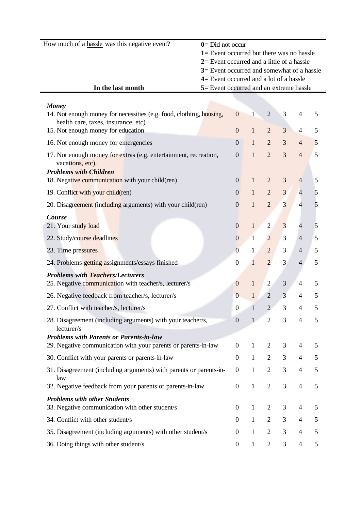| How much of a hassle was this negative event? | $0 = Did not occur$                          |
|-----------------------------------------------|----------------------------------------------|
|                                               | $1 =$ Event occurred but there was no hassle |
|                                               | $2=$ Event occurred and a little of a hassle |
|                                               | $3=$ Event occurred and somewhat of a hassle |
|                                               | $4=$ Event occurred and a lot of a hassle    |
| In the last month                             | 5 = Event occurred and an extreme hassle     |

| <b>Money</b>                                                                                                          |                  |              |                |                |                          |   |
|-----------------------------------------------------------------------------------------------------------------------|------------------|--------------|----------------|----------------|--------------------------|---|
| 14. Not enough money for necessities (e.g. food, clothing, housing,<br>health care, taxes, insurance, etc)            | $\overline{0}$   | $\mathbf{1}$ | $\overline{2}$ | 3              | 4                        | 5 |
| 15. Not enough money for education                                                                                    | $\mathbf{0}$     | $\mathbf{1}$ | $\overline{2}$ | 3              | $\overline{4}$           | 5 |
| 16. Not enough money for emergencies                                                                                  | $\boldsymbol{0}$ | $\mathbf{1}$ | $\overline{2}$ | 3              | $\overline{4}$           | 5 |
| 17. Not enough money for extras (e.g. entertainment, recreation,<br>vacations, etc).<br><b>Problems with Children</b> | $\boldsymbol{0}$ | $\mathbf{1}$ | $\overline{2}$ | $\overline{3}$ | $\overline{4}$           | 5 |
| 18. Negative communication with your child(ren)                                                                       | $\boldsymbol{0}$ | $\mathbf{1}$ | $\overline{2}$ | 3              | $\overline{4}$           | 5 |
| 19. Conflict with your child(ren)                                                                                     | $\theta$         | $\mathbf{1}$ | $\overline{2}$ | 3              | $\overline{4}$           | 5 |
| 20. Disagreement (including arguments) with your child(ren)                                                           | $\boldsymbol{0}$ | $\mathbf{1}$ | $\overline{2}$ | $\overline{3}$ | 4                        | 5 |
| Course<br>21. Your study load                                                                                         | $\boldsymbol{0}$ | $\mathbf{1}$ | $\mathbf{2}$   | 3              | $\overline{\mathcal{L}}$ | 5 |
| 22. Study/course deadlines                                                                                            | $\boldsymbol{0}$ | $\mathbf{1}$ | $\overline{2}$ | 3              | $\overline{4}$           | 5 |
| 23. Time pressures                                                                                                    | $\overline{0}$   | 1            | $\sqrt{2}$     | 3              | $\overline{4}$           | 5 |
| 24. Problems getting assignments/essays finished                                                                      | $\boldsymbol{0}$ | $\mathbf{1}$ | $\overline{2}$ | 3              | $\overline{4}$           | 5 |
| <b>Problems with Teachers/Lecturers</b>                                                                               |                  |              |                |                |                          |   |
| 25. Negative communication with teacher/s, lecturer/s                                                                 | $\boldsymbol{0}$ | $\mathbf{1}$ | $\overline{2}$ | $\mathfrak{Z}$ | $\overline{4}$           | 5 |
| 26. Negative feedback from teacher/s, lecturer/s                                                                      | $\overline{0}$   | $\mathbf{1}$ | $\overline{2}$ | 3              | $\overline{4}$           | 5 |
| 27. Conflict with teacher/s, lecturer/s                                                                               | $\boldsymbol{0}$ | $\mathbf{1}$ | $\overline{2}$ | 3              | 4                        | 5 |
| 28. Disagreement (including arguments) with your teacher/s,<br>lecturer/s                                             | $\boldsymbol{0}$ | $\mathbf{1}$ | $\overline{2}$ | $\overline{3}$ | $\overline{4}$           | 5 |
| <b>Problems with Parents or Parents-in-law</b><br>29. Negative communication with your parents or parents-in-law      | $\mathbf{0}$     | $\mathbf{1}$ | $\overline{2}$ | 3              | 4                        | 5 |
| 30. Conflict with your parents or parents-in-law                                                                      | $\mathbf{0}$     | $\mathbf{1}$ | $\overline{2}$ | 3              | 4                        | 5 |
| 31. Disagreement (including arguments) with parents or parents-in-                                                    | $\overline{0}$   |              | $\overline{2}$ | 3              | 4                        | 5 |
| law                                                                                                                   |                  |              |                |                |                          |   |
| 32. Negative feedback from your parents or parents-in-law                                                             | $\boldsymbol{0}$ | $\mathbf{1}$ | $\overline{2}$ | 3              | 4                        | 5 |
| <b>Problems with other Students</b><br>33. Negative communication with other student/s                                | $\theta$         | $\mathbf{1}$ | $\overline{2}$ | 3              | 4                        | 5 |
| 34. Conflict with other student/s                                                                                     | $\boldsymbol{0}$ | $\mathbf{1}$ | $\overline{2}$ | $\mathfrak{Z}$ | $\overline{4}$           | 5 |
| 35. Disagreement (including arguments) with other student/s                                                           | $\mathbf{0}$     | $\mathbf{1}$ | $\overline{2}$ | 3              | 4                        | 5 |
| 36. Doing things with other student/s                                                                                 | $\boldsymbol{0}$ | $\mathbf{1}$ | $\overline{2}$ | $\mathfrak{Z}$ | $\overline{4}$           | 5 |
|                                                                                                                       |                  |              |                |                |                          |   |